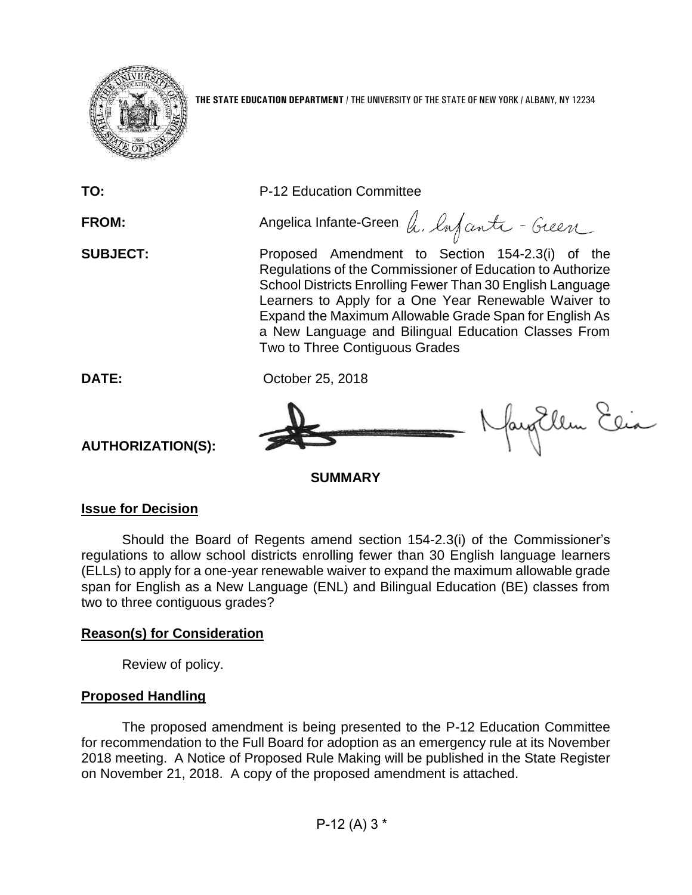

**TO:** P-12 Education Committee

FROM: Angelica Infante-Green h. Infanta - Gueen **SUBJECT:** Proposed Amendment to Section 154-2.3(i) of the Regulations of the Commissioner of Education to Authorize School Districts Enrolling Fewer Than 30 English Language Learners to Apply for a One Year Renewable Waiver to Expand the Maximum Allowable Grade Span for English As

a New Language and Bilingual Education Classes From

**DATE:** October 25, 2018



Nayorllem Elia

**SUMMARY**

Two to Three Contiguous Grades

#### **Issue for Decision**

**AUTHORIZATION(S):**

Should the Board of Regents amend section 154-2.3(i) of the Commissioner's regulations to allow school districts enrolling fewer than 30 English language learners (ELLs) to apply for a one-year renewable waiver to expand the maximum allowable grade span for English as a New Language (ENL) and Bilingual Education (BE) classes from two to three contiguous grades?

### **Reason(s) for Consideration**

Review of policy.

#### **Proposed Handling**

The proposed amendment is being presented to the P-12 Education Committee for recommendation to the Full Board for adoption as an emergency rule at its November 2018 meeting. A Notice of Proposed Rule Making will be published in the State Register on November 21, 2018. A copy of the proposed amendment is attached.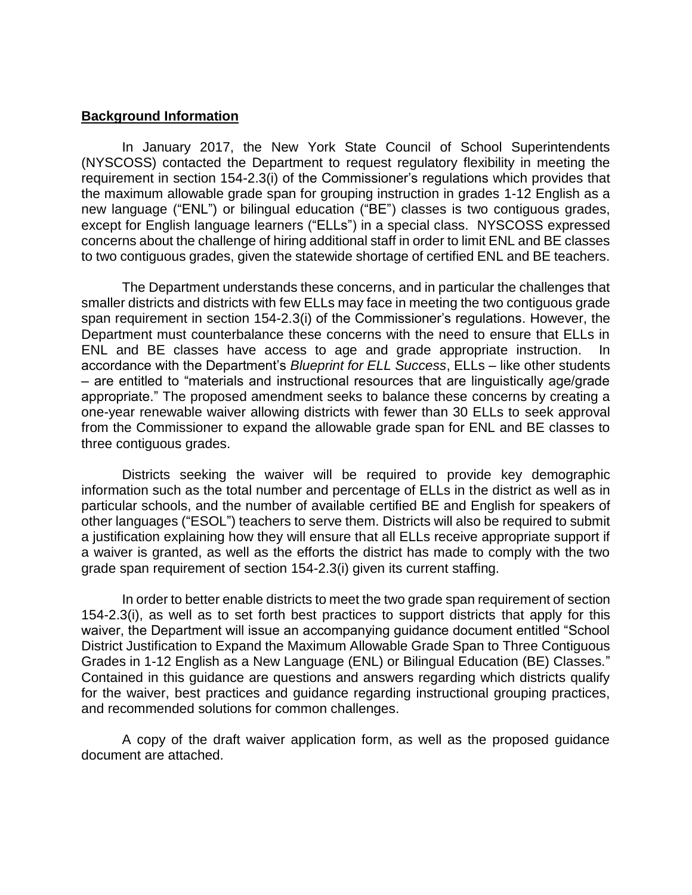#### **Background Information**

In January 2017, the New York State Council of School Superintendents (NYSCOSS) contacted the Department to request regulatory flexibility in meeting the requirement in section 154-2.3(i) of the Commissioner's regulations which provides that the maximum allowable grade span for grouping instruction in grades 1-12 English as a new language ("ENL") or bilingual education ("BE") classes is two contiguous grades, except for English language learners ("ELLs") in a special class. NYSCOSS expressed concerns about the challenge of hiring additional staff in order to limit ENL and BE classes to two contiguous grades, given the statewide shortage of certified ENL and BE teachers.

The Department understands these concerns, and in particular the challenges that smaller districts and districts with few ELLs may face in meeting the two contiguous grade span requirement in section 154-2.3(i) of the Commissioner's regulations. However, the Department must counterbalance these concerns with the need to ensure that ELLs in ENL and BE classes have access to age and grade appropriate instruction. accordance with the Department's *Blueprint for ELL Success*, ELLs – like other students – are entitled to "materials and instructional resources that are linguistically age/grade appropriate." The proposed amendment seeks to balance these concerns by creating a one-year renewable waiver allowing districts with fewer than 30 ELLs to seek approval from the Commissioner to expand the allowable grade span for ENL and BE classes to three contiguous grades.

Districts seeking the waiver will be required to provide key demographic information such as the total number and percentage of ELLs in the district as well as in particular schools, and the number of available certified BE and English for speakers of other languages ("ESOL") teachers to serve them. Districts will also be required to submit a justification explaining how they will ensure that all ELLs receive appropriate support if a waiver is granted, as well as the efforts the district has made to comply with the two grade span requirement of section 154-2.3(i) given its current staffing.

In order to better enable districts to meet the two grade span requirement of section 154-2.3(i), as well as to set forth best practices to support districts that apply for this waiver, the Department will issue an accompanying guidance document entitled "School District Justification to Expand the Maximum Allowable Grade Span to Three Contiguous Grades in 1-12 English as a New Language (ENL) or Bilingual Education (BE) Classes." Contained in this guidance are questions and answers regarding which districts qualify for the waiver, best practices and guidance regarding instructional grouping practices, and recommended solutions for common challenges.

A copy of the draft waiver application form, as well as the proposed guidance document are attached.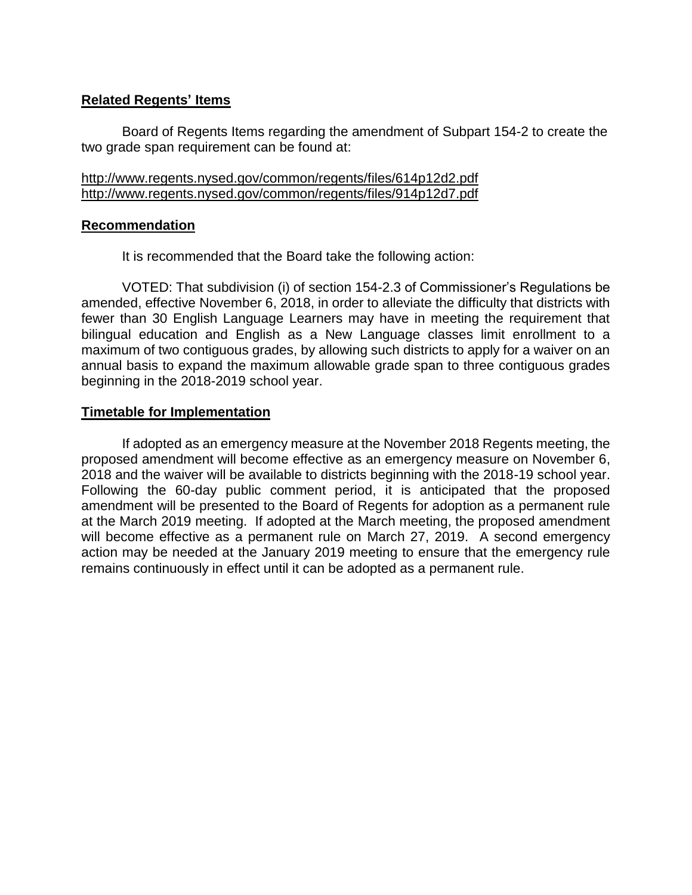#### **Related Regents' Items**

Board of Regents Items regarding the amendment of Subpart 154-2 to create the two grade span requirement can be found at:

http://www.regents.nysed.gov/common/regents/files/614p12d2.pdf http://www.regents.nysed.gov/common/regents/files/914p12d7.pdf

#### **Recommendation**

It is recommended that the Board take the following action:

VOTED: That subdivision (i) of section 154-2.3 of Commissioner's Regulations be amended, effective November 6, 2018, in order to alleviate the difficulty that districts with fewer than 30 English Language Learners may have in meeting the requirement that bilingual education and English as a New Language classes limit enrollment to a maximum of two contiguous grades, by allowing such districts to apply for a waiver on an annual basis to expand the maximum allowable grade span to three contiguous grades beginning in the 2018-2019 school year.

#### **Timetable for Implementation**

If adopted as an emergency measure at the November 2018 Regents meeting, the proposed amendment will become effective as an emergency measure on November 6, 2018 and the waiver will be available to districts beginning with the 2018-19 school year. Following the 60-day public comment period, it is anticipated that the proposed amendment will be presented to the Board of Regents for adoption as a permanent rule at the March 2019 meeting. If adopted at the March meeting, the proposed amendment will become effective as a permanent rule on March 27, 2019. A second emergency action may be needed at the January 2019 meeting to ensure that the emergency rule remains continuously in effect until it can be adopted as a permanent rule.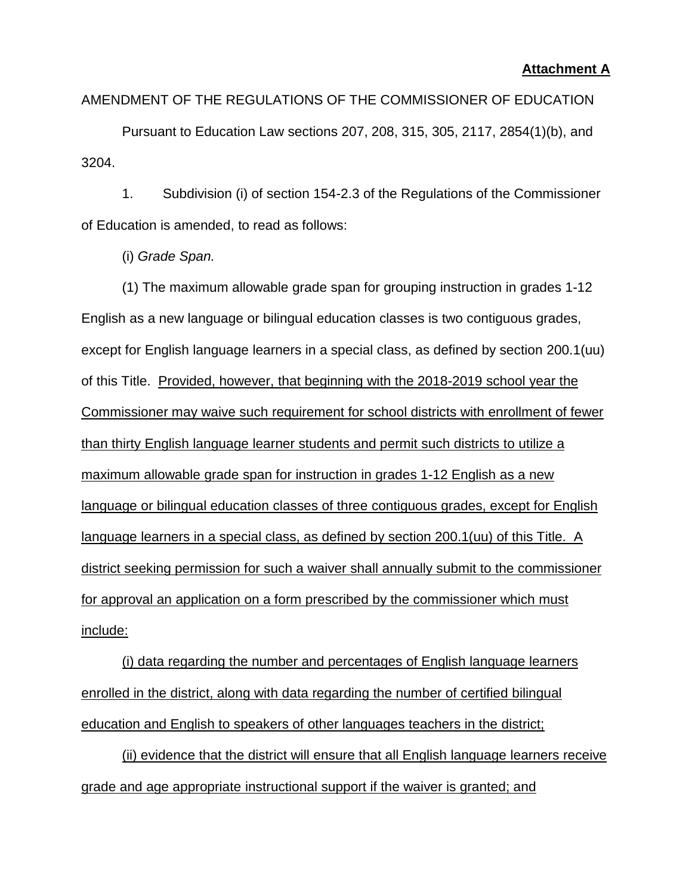#### **Attachment A**

AMENDMENT OF THE REGULATIONS OF THE COMMISSIONER OF EDUCATION

Pursuant to Education Law sections 207, 208, 315, 305, 2117, 2854(1)(b), and 3204.

1. Subdivision (i) of section 154-2.3 of the Regulations of the Commissioner of Education is amended, to read as follows:

(i) *Grade Span.*

(1) The maximum allowable grade span for grouping instruction in grades 1-12 English as a new language or bilingual education classes is two contiguous grades, except for English language learners in a special class, as defined by section 200.1(uu) of this Title. Provided, however, that beginning with the 2018-2019 school year the Commissioner may waive such requirement for school districts with enrollment of fewer than thirty English language learner students and permit such districts to utilize a maximum allowable grade span for instruction in grades 1-12 English as a new language or bilingual education classes of three contiguous grades, except for English language learners in a special class, as defined by section 200.1(uu) of this Title. A district seeking permission for such a waiver shall annually submit to the commissioner for approval an application on a form prescribed by the commissioner which must include:

(i) data regarding the number and percentages of English language learners enrolled in the district, along with data regarding the number of certified bilingual education and English to speakers of other languages teachers in the district;

(ii) evidence that the district will ensure that all English language learners receive grade and age appropriate instructional support if the waiver is granted; and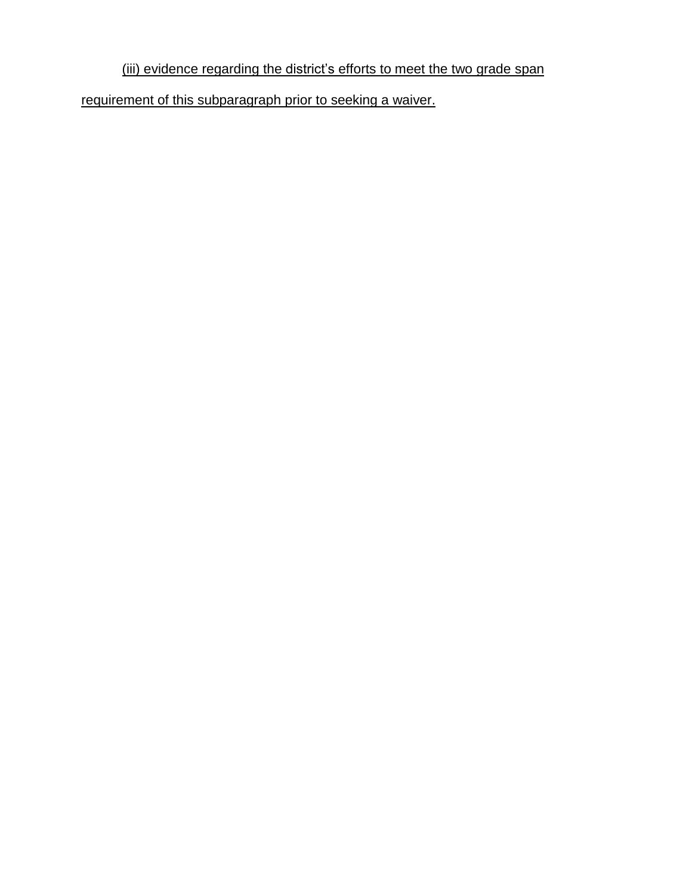## (iii) evidence regarding the district's efforts to meet the two grade span

requirement of this subparagraph prior to seeking a waiver.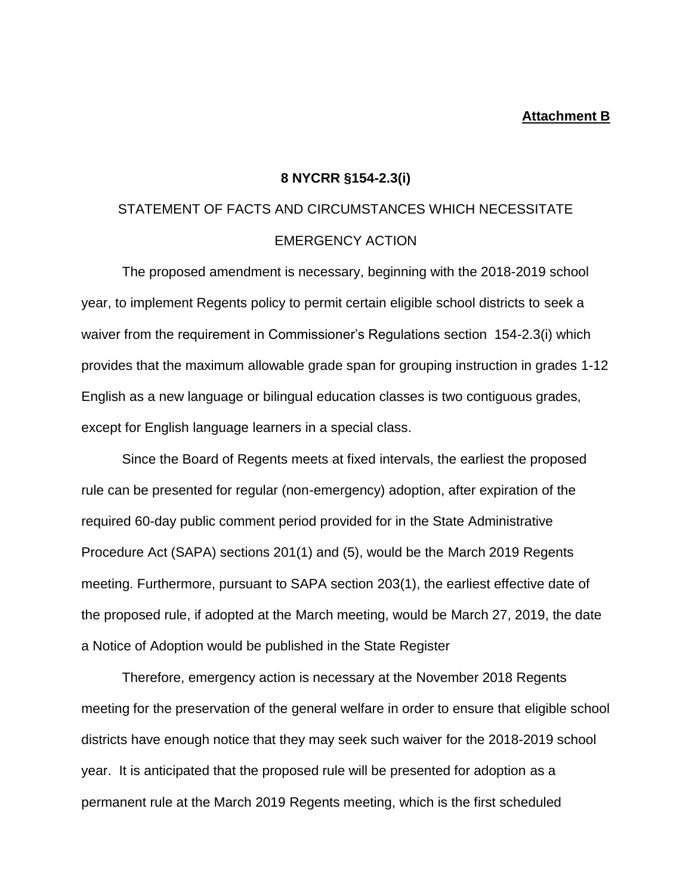#### **Attachment B**

#### **8 NYCRR §154-2.3(i)**

## STATEMENT OF FACTS AND CIRCUMSTANCES WHICH NECESSITATE EMERGENCY ACTION

The proposed amendment is necessary, beginning with the 2018-2019 school year, to implement Regents policy to permit certain eligible school districts to seek a waiver from the requirement in Commissioner's Regulations section 154-2.3(i) which provides that the maximum allowable grade span for grouping instruction in grades 1-12 English as a new language or bilingual education classes is two contiguous grades, except for English language learners in a special class.

Since the Board of Regents meets at fixed intervals, the earliest the proposed rule can be presented for regular (non-emergency) adoption, after expiration of the required 60-day public comment period provided for in the State Administrative Procedure Act (SAPA) sections 201(1) and (5), would be the March 2019 Regents meeting. Furthermore, pursuant to SAPA section 203(1), the earliest effective date of the proposed rule, if adopted at the March meeting, would be March 27, 2019, the date a Notice of Adoption would be published in the State Register

Therefore, emergency action is necessary at the November 2018 Regents meeting for the preservation of the general welfare in order to ensure that eligible school districts have enough notice that they may seek such waiver for the 2018-2019 school year. It is anticipated that the proposed rule will be presented for adoption as a permanent rule at the March 2019 Regents meeting, which is the first scheduled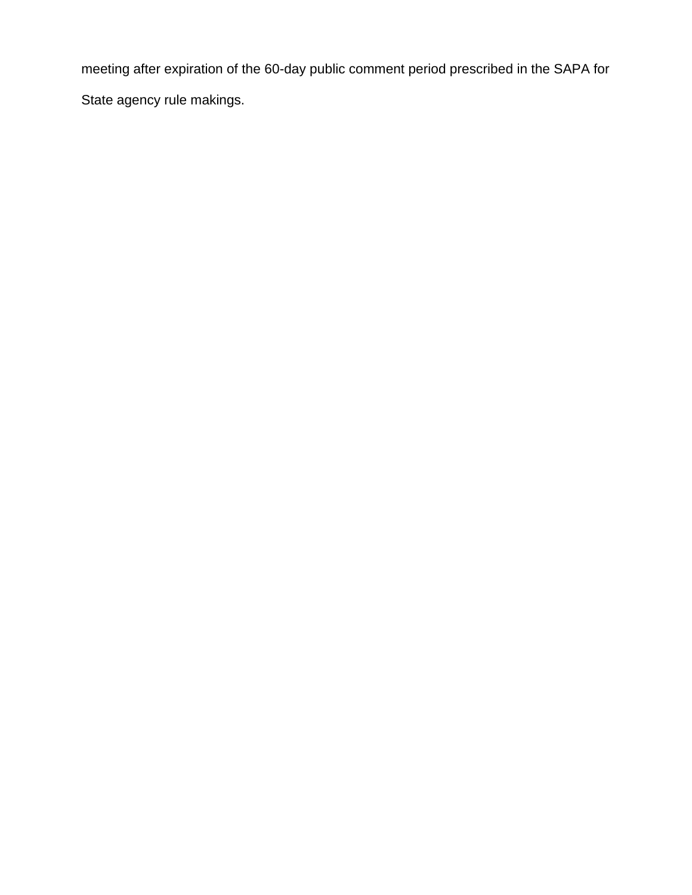meeting after expiration of the 60-day public comment period prescribed in the SAPA for State agency rule makings.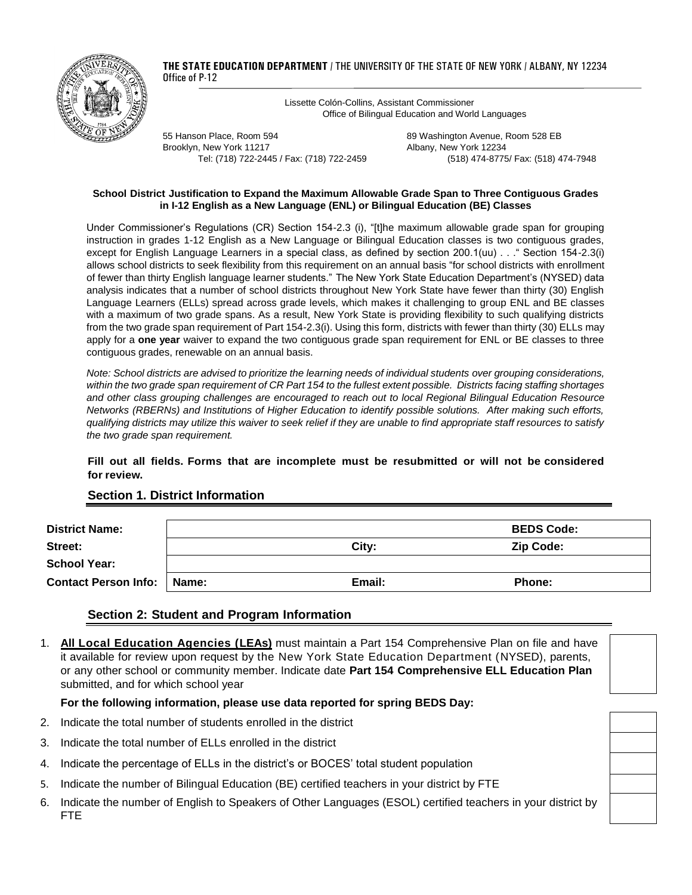

**THE STATE EDUCATION DEPARTMENT** / THE UNIVERSITY OF THE STATE OF NEW YORK / ALBANY, NY 12234 Office of P-12

> Lissette Colón-Collins, Assistant Commissioner Office of Bilingual Education and World Languages

55 Hanson Place, Room 594 89 Washington Avenue, Room 528 EB Brooklyn, New York 11217 **Albany, New York 12234** 

Tel: (718) 722-2445 / Fax: (718) 722-2459 (518) 474-8775/ Fax: (518) 474-7948

#### **School District Justification to Expand the Maximum Allowable Grade Span to Three Contiguous Grades in I-12 English as a New Language (ENL) or Bilingual Education (BE) Classes**

Under Commissioner's Regulations (CR) Section 154-2.3 (i), "[t]he maximum allowable grade span for grouping instruction in grades 1-12 English as a New Language or Bilingual Education classes is two contiguous grades, except for English Language Learners in a special class, as defined by section 200.1(uu) . . ." Section 154-2.3(i) allows school districts to seek flexibility from this requirement on an annual basis "for school districts with enrollment of fewer than thirty English language learner students." The New York State Education Department's (NYSED) data analysis indicates that a number of school districts throughout New York State have fewer than thirty (30) English Language Learners (ELLs) spread across grade levels, which makes it challenging to group ENL and BE classes with a maximum of two grade spans. As a result, New York State is providing flexibility to such qualifying districts from the two grade span requirement of Part 154-2.3(i). Using this form, districts with fewer than thirty (30) ELLs may apply for a **one year** waiver to expand the two contiguous grade span requirement for ENL or BE classes to three contiguous grades, renewable on an annual basis.

*Note: School districts are advised to prioritize the learning needs of individual students over grouping considerations, within the two grade span requirement of CR Part 154 to the fullest extent possible. Districts facing staffing shortages and other class grouping challenges are encouraged to reach out to local Regional Bilingual Education Resource Networks (RBERNs) and Institutions of Higher Education to identify possible solutions. After making such efforts, qualifying districts may utilize this waiver to seek relief if they are unable to find appropriate staff resources to satisfy the two grade span requirement.* 

#### **Fill out all fields. Forms that are incomplete must be resubmitted or will not be considered for review.**

| <b>District Name:</b>               |        | <b>BEDS Code:</b> |
|-------------------------------------|--------|-------------------|
| Street:                             | City:  | <b>Zip Code:</b>  |
| <b>School Year:</b>                 |        |                   |
| <b>Contact Person Info:   Name:</b> | Email: | <b>Phone:</b>     |

#### **Section 1. District Information**

#### **Section 2: Student and Program Information**

1. **All Local Education Agencies (LEAs)** must maintain a Part 154 Comprehensive Plan on file and have it available for review upon request by the New York State Education Department (NYSED), parents, or any other school or community member. Indicate date **Part 154 Comprehensive ELL Education Plan** submitted, and for which school year

#### **For the following information, please use data reported for spring BEDS Day:**

- 2. Indicate the total number of students enrolled in the district
- 3. Indicate the total number of ELLs enrolled in the district
- 4. Indicate the percentage of ELLs in the district's or BOCES' total student population
- 5. Indicate the number of Bilingual Education (BE) certified teachers in your district by FTE
- 6. Indicate the number of English to Speakers of Other Languages (ESOL) certified teachers in your district by FTE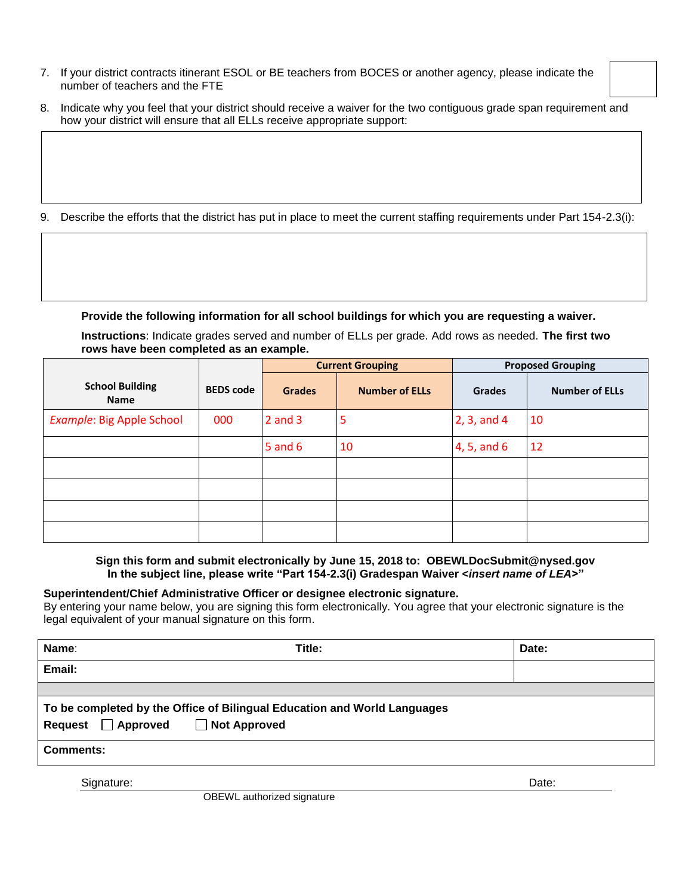- 7. If your district contracts itinerant ESOL or BE teachers from BOCES or another agency, please indicate the number of teachers and the FTE
- 8. Indicate why you feel that your district should receive a waiver for the two contiguous grade span requirement and how your district will ensure that all ELLs receive appropriate support:
- 9. Describe the efforts that the district has put in place to meet the current staffing requirements under Part 154-2.3(i):

**Provide the following information for all school buildings for which you are requesting a waiver.**

**Instructions**: Indicate grades served and number of ELLs per grade. Add rows as needed. **The first two rows have been completed as an example.**

|                                       |                  | <b>Current Grouping</b> |                       | <b>Proposed Grouping</b> |                       |
|---------------------------------------|------------------|-------------------------|-----------------------|--------------------------|-----------------------|
| <b>School Building</b><br><b>Name</b> | <b>BEDS</b> code | <b>Grades</b>           | <b>Number of ELLs</b> | <b>Grades</b>            | <b>Number of ELLs</b> |
| Example: Big Apple School             | 000              | $2$ and $3$             | 5                     | 2, 3, and 4              | 10                    |
|                                       |                  | $5$ and $6$             | 10                    | 4, 5, and 6              | 12                    |
|                                       |                  |                         |                       |                          |                       |
|                                       |                  |                         |                       |                          |                       |
|                                       |                  |                         |                       |                          |                       |
|                                       |                  |                         |                       |                          |                       |

**Sign this form and submit electronically by June 15, 2018 to: OBEWLDocSubmit@nysed.gov In the subject line, please write "Part 154-2.3(i) Gradespan Waiver <***insert name of LEA***>"**

#### **Superintendent/Chief Administrative Officer or designee electronic signature.**

By entering your name below, you are signing this form electronically. You agree that your electronic signature is the legal equivalent of your manual signature on this form.

| Name:                                                                                                                    | Title: | Date: |  |  |  |  |
|--------------------------------------------------------------------------------------------------------------------------|--------|-------|--|--|--|--|
| Email:                                                                                                                   |        |       |  |  |  |  |
|                                                                                                                          |        |       |  |  |  |  |
| To be completed by the Office of Bilingual Education and World Languages<br>□ Not Approved<br>$\Box$ Approved<br>Request |        |       |  |  |  |  |
| <b>Comments:</b>                                                                                                         |        |       |  |  |  |  |
| Signature:                                                                                                               |        | Date: |  |  |  |  |

OBEWL authorized signature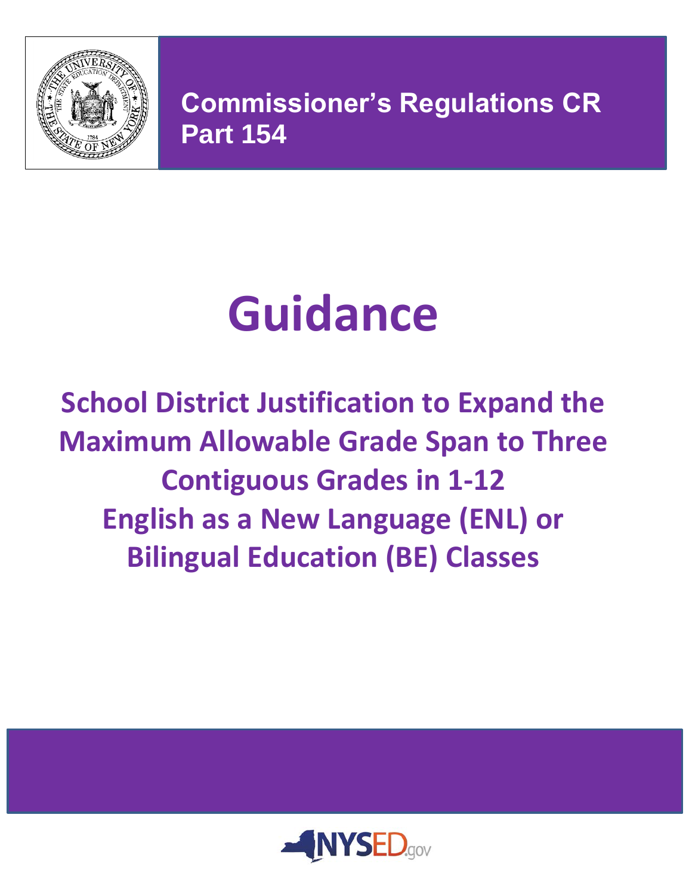

**Commissioner's Regulations CR Part 154**

**Commissioner's Regulation Part 154**

# **Guidance**

**School District Justification to Expand the Maximum Allowable Grade Span to Three Contiguous Grades in 1-12 English as a New Language (ENL) or Bilingual Education (BE) Classes**

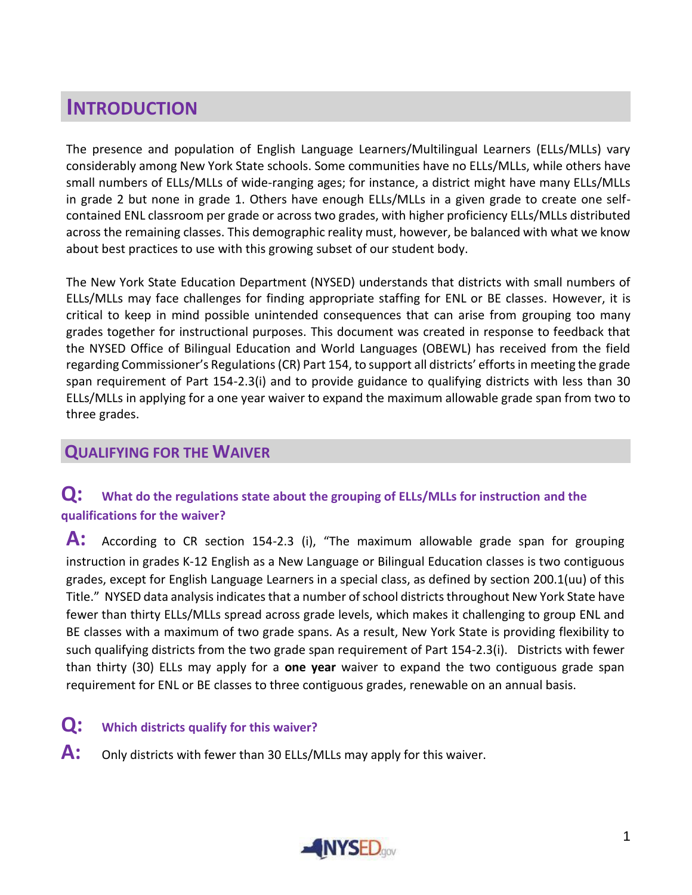# **INTRODUCTION**

The presence and population of English Language Learners/Multilingual Learners (ELLs/MLLs) vary considerably among New York State schools. Some communities have no ELLs/MLLs, while others have small numbers of ELLs/MLLs of wide-ranging ages; for instance, a district might have many ELLs/MLLs in grade 2 but none in grade 1. Others have enough ELLs/MLLs in a given grade to create one selfcontained ENL classroom per grade or across two grades, with higher proficiency ELLs/MLLs distributed across the remaining classes. This demographic reality must, however, be balanced with what we know about best practices to use with this growing subset of our student body.

The New York State Education Department (NYSED) understands that districts with small numbers of ELLs/MLLs may face challenges for finding appropriate staffing for ENL or BE classes. However, it is critical to keep in mind possible unintended consequences that can arise from grouping too many grades together for instructional purposes. This document was created in response to feedback that the NYSED Office of Bilingual Education and World Languages (OBEWL) has received from the field regarding Commissioner's Regulations (CR) Part 154, to support all districts' efforts in meeting the grade span requirement of Part 154-2.3(i) and to provide guidance to qualifying districts with less than 30 ELLs/MLLs in applying for a one year waiver to expand the maximum allowable grade span from two to three grades.

## **QUALIFYING FOR THE WAIVER**

## **Q: What do the regulations state about the grouping of ELLs/MLLs for instruction and the qualifications for the waiver?**

A: According to CR section 154-2.3 (i), "The maximum allowable grade span for grouping instruction in grades K-12 English as a New Language or Bilingual Education classes is two contiguous grades, except for English Language Learners in a special class, as defined by section 200.1(uu) of this Title." NYSED data analysis indicates that a number of school districts throughout New York State have fewer than thirty ELLs/MLLs spread across grade levels, which makes it challenging to group ENL and BE classes with a maximum of two grade spans. As a result, New York State is providing flexibility to such qualifying districts from the two grade span requirement of Part 154-2.3(i). Districts with fewer than thirty (30) ELLs may apply for a **one year** waiver to expand the two contiguous grade span requirement for ENL or BE classes to three contiguous grades, renewable on an annual basis.

## **Q: Which districts qualify for this waiver?**

A: Only districts with fewer than 30 ELLs/MLLs may apply for this waiver.

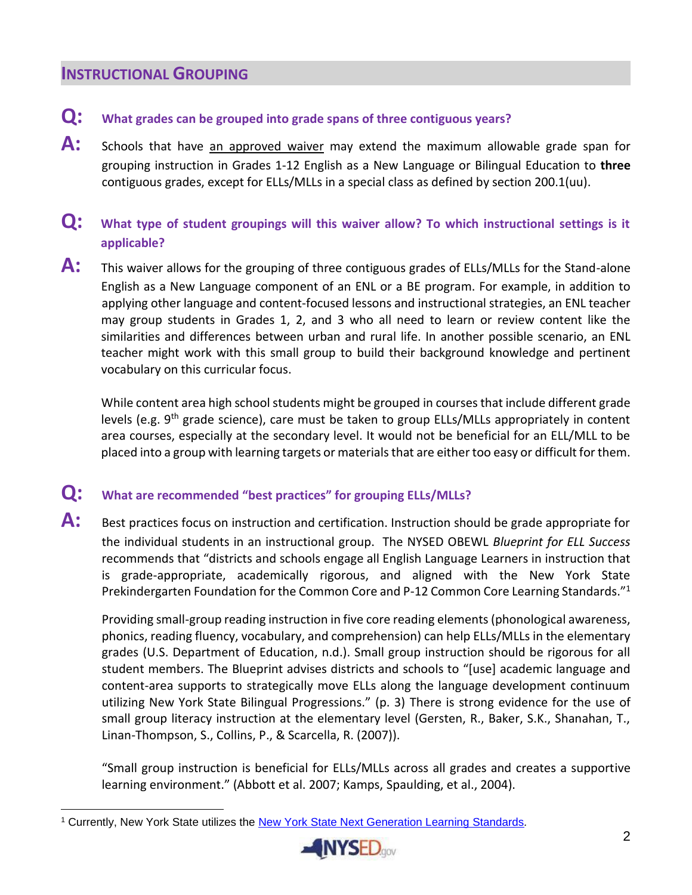## **INSTRUCTIONAL GROUPING**

- **Q: What grades can be grouped into grade spans of three contiguous years?**
- A: Schools that have an approved waiver may extend the maximum allowable grade span for grouping instruction in Grades 1-12 English as a New Language or Bilingual Education to **three**  contiguous grades, except for ELLs/MLLs in a special class as defined by section 200.1(uu).
- **Q: What type of student groupings will this waiver allow? To which instructional settings is it applicable?**
- **A:** This waiver allows for the grouping of three contiguous grades of ELLs/MLLs for the Stand-alone English as a New Language component of an ENL or a BE program. For example, in addition to applying other language and content-focused lessons and instructional strategies, an ENL teacher may group students in Grades 1, 2, and 3 who all need to learn or review content like the similarities and differences between urban and rural life. In another possible scenario, an ENL teacher might work with this small group to build their background knowledge and pertinent vocabulary on this curricular focus.

While content area high school students might be grouped in courses that include different grade levels (e.g. 9<sup>th</sup> grade science), care must be taken to group ELLs/MLLs appropriately in content area courses, especially at the secondary level. It would not be beneficial for an ELL/MLL to be placed into a group with learning targets or materials that are either too easy or difficult for them.

## **Q: What are recommended "best practices" for grouping ELLs/MLLs?**

A: Best practices focus on instruction and certification. Instruction should be grade appropriate for the individual students in an instructional group. The NYSED OBEWL *Blueprint for ELL Success* recommends that "districts and schools engage all English Language Learners in instruction that is grade-appropriate, academically rigorous, and aligned with the New York State Prekindergarten Foundation for the Common Core and P-12 Common Core Learning Standards."<sup>1</sup>

Providing small-group reading instruction in five core reading elements (phonological awareness, phonics, reading fluency, vocabulary, and comprehension) can help ELLs/MLLs in the elementary grades (U.S. Department of Education, n.d.). Small group instruction should be rigorous for all student members. The Blueprint advises districts and schools to "[use] academic language and content-area supports to strategically move ELLs along the language development continuum utilizing New York State Bilingual Progressions." (p. 3) There is strong evidence for the use of small group literacy instruction at the elementary level (Gersten, R., Baker, S.K., Shanahan, T., Linan-Thompson, S., Collins, P., & Scarcella, R. (2007)).

"Small group instruction is beneficial for ELLs/MLLs across all grades and creates a supportive learning environment." (Abbott et al. 2007; Kamps, Spaulding, et al., 2004).

 $\overline{a}$ <sup>1</sup> Currently, New York State utilizes the [New York State Next Generation Learning Standards](http://www.nysed.gov/next-generation-learning-standards)*.*

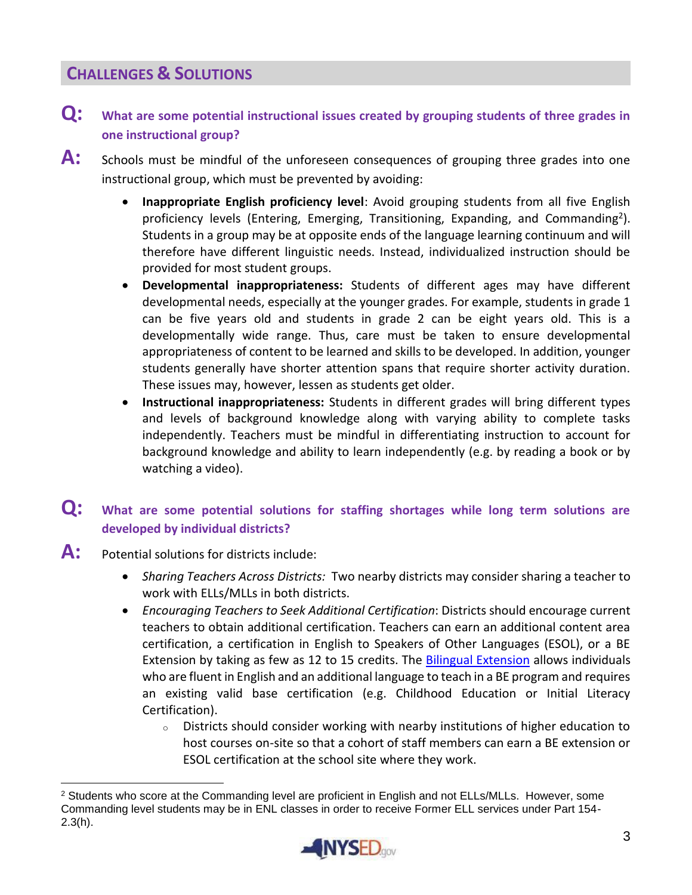## **CHALLENGES & SOLUTIONS**

- **Q: What are some potential instructional issues created by grouping students of three grades in one instructional group?**
- A: Schools must be mindful of the unforeseen consequences of grouping three grades into one instructional group, which must be prevented by avoiding:
	- **Inappropriate English proficiency level**: Avoid grouping students from all five English proficiency levels (Entering, Emerging, Transitioning, Expanding, and Commanding<sup>2</sup>). Students in a group may be at opposite ends of the language learning continuum and will therefore have different linguistic needs. Instead, individualized instruction should be provided for most student groups.
	- **Developmental inappropriateness:** Students of different ages may have different developmental needs, especially at the younger grades. For example, students in grade 1 can be five years old and students in grade 2 can be eight years old. This is a developmentally wide range. Thus, care must be taken to ensure developmental appropriateness of content to be learned and skills to be developed. In addition, younger students generally have shorter attention spans that require shorter activity duration. These issues may, however, lessen as students get older.
	- **Instructional inappropriateness:** Students in different grades will bring different types and levels of background knowledge along with varying ability to complete tasks independently. Teachers must be mindful in differentiating instruction to account for background knowledge and ability to learn independently (e.g. by reading a book or by watching a video).

## **Q: What are some potential solutions for staffing shortages while long term solutions are developed by individual districts?**

**A:** Potential solutions for districts include:

 $\overline{a}$ 

- *Sharing Teachers Across Districts:* Two nearby districts may consider sharing a teacher to work with ELLs/MLLs in both districts.
- *Encouraging Teachers to Seek Additional Certification*: Districts should encourage current teachers to obtain additional certification. Teachers can earn an additional content area certification, a certification in English to Speakers of Other Languages (ESOL), or a BE Extension by taking as few as 12 to 15 credits. The [Bilingual Extension](http://www.highered.nysed.gov/tcert/certificate/typesofcerts/extbil.html) allows individuals who are fluent in English and an additional language to teach in a BE program and requires an existing valid base certification (e.g. Childhood Education or Initial Literacy Certification).
	- <sup>o</sup> Districts should consider working with nearby institutions of higher education to host courses on-site so that a cohort of staff members can earn a BE extension or ESOL certification at the school site where they work.

<sup>&</sup>lt;sup>2</sup> Students who score at the Commanding level are proficient in English and not ELLs/MLLs. However, some Commanding level students may be in ENL classes in order to receive Former ELL services under Part 154- 2.3(h).

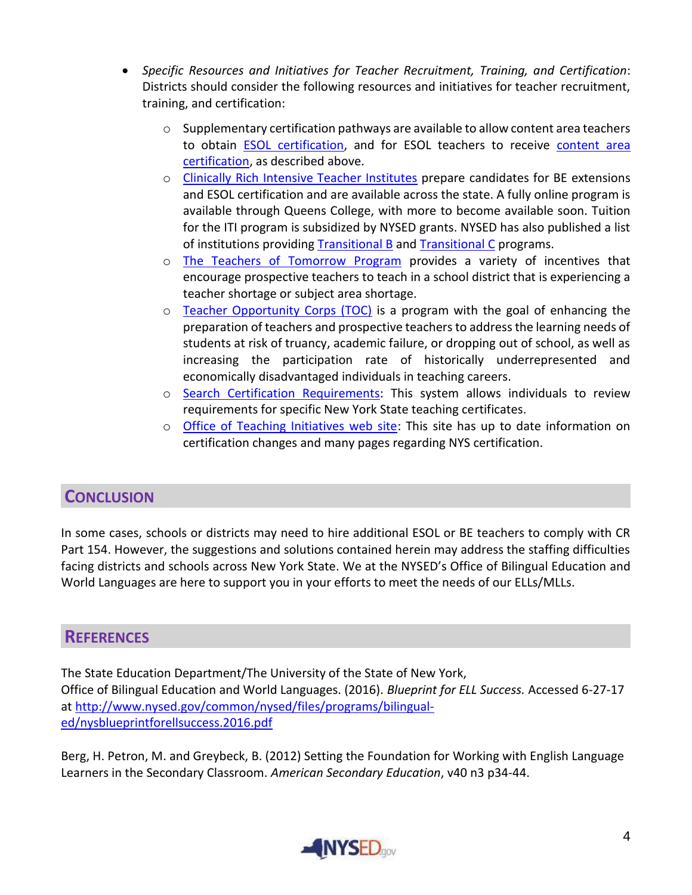- *Specific Resources and Initiatives for Teacher Recruitment, Training, and Certification*: Districts should consider the following resources and initiatives for teacher recruitment, training, and certification:
	- $\circ$  Supplementary certification pathways are available to allow content area teachers to obtain **ESOL** certification, and for ESOL teachers to receive content area [certification,](http://www.nysed.gov/common/nysed/files/programs/bilingual-ed/memo_supplementary-certification-esol-content-area-fact-sheet.pdf) as described above.
	- o [Clinically Rich Intensive Teacher Institutes](http://www.nysed.gov/bilingual-ed/teachers/clinically-rich-intensive-teacher-institute-cr-iti) prepare candidates for BE extensions and ESOL certification and are available across the state. A fully online program is available through Queens College, with more to become available soon. Tuition for the ITI program is subsidized by NYSED grants. NYSED has also published a list of institutions providing [Transitional B](http://www.highered.nysed.gov/ocue/spr/AlternativeTeacherCertificationProgram.htm) and [Transitional C](http://www.highered.nysed.gov/ocue/spr/ATCRegisteredProgramsTransC.htm) programs.
	- o [The Teachers of Tomorrow Program](http://www.highered.nysed.gov/kiap/tot/documents/TeachersofTomorrowProgramFINAL.pdf) provides a variety of incentives that encourage prospective teachers to teach in a school district that is experiencing a teacher shortage or subject area shortage.
	- o [Teacher Opportunity Corps \(TOC\)](http://www.tc.columbia.edu/office-of-teacher-education/office-of-teacher-education/student-teaching-and-edtpa/teacher-opportunity-corps/) is a program with the goal of enhancing the preparation of teachers and prospective teachers to address the learning needs of students at risk of truancy, academic failure, or dropping out of school, as well as increasing the participation rate of historically underrepresented and economically disadvantaged individuals in teaching careers.
	- o [Search Certification Requirements:](http://eservices.nysed.gov/teach/certhelp/CertRequirementHelp.do) This system allows individuals to review requirements for specific New York State teaching certificates.
	- $\circ$  [Office of Teaching Initiatives web site:](http://www.highered.nysed.gov/tcert) This site has up to date information on certification changes and many pages regarding NYS certification.

## **CONCLUSION**

In some cases, schools or districts may need to hire additional ESOL or BE teachers to comply with CR Part 154. However, the suggestions and solutions contained herein may address the staffing difficulties facing districts and schools across New York State. We at the NYSED's Office of Bilingual Education and World Languages are here to support you in your efforts to meet the needs of our ELLs/MLLs.

## **REFERENCES**

The State Education Department/The University of the State of New York, Office of Bilingual Education and World Languages. (2016). *Blueprint for ELL Success.* Accessed 6-27-17 at [http://www.nysed.gov/common/nysed/files/programs/bilingual](http://www.nysed.gov/common/nysed/files/programs/bilingual-ed/nysblueprintforellsuccess.2016.pdf)[ed/nysblueprintforellsuccess.2016.pdf](http://www.nysed.gov/common/nysed/files/programs/bilingual-ed/nysblueprintforellsuccess.2016.pdf)

Berg, H. Petron, M. and Greybeck, B. (2012) Setting the Foundation for Working with English Language Learners in the Secondary Classroom. *American Secondary Education*, v40 n3 p34-44.

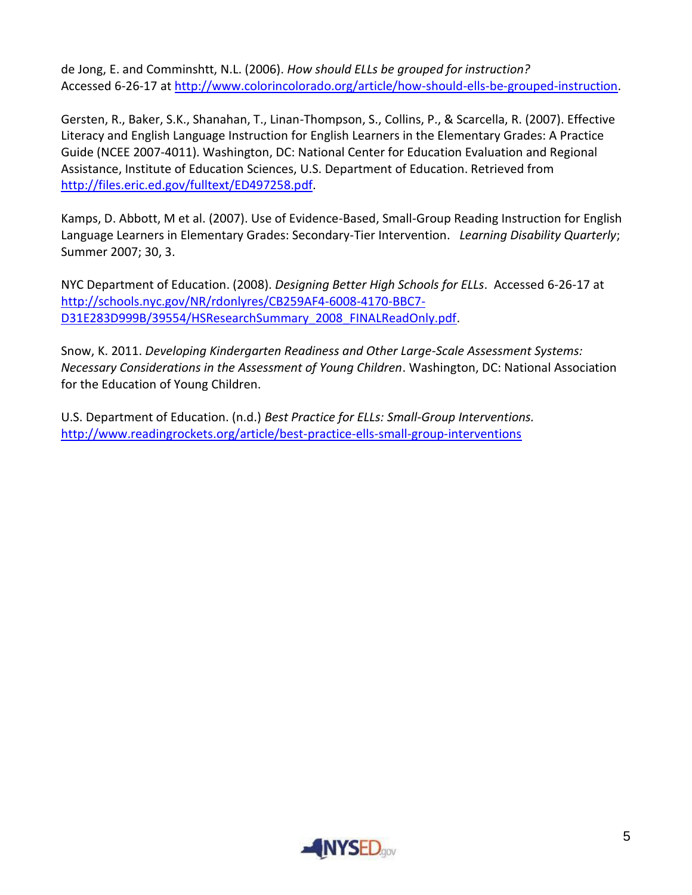de Jong, E. and Comminshtt, N.L. (2006). *How should ELLs be grouped for instruction?* Accessed 6-26-17 at [http://www.colorincolorado.org/article/how-should-ells-be-grouped-instruction.](http://www.colorincolorado.org/article/how-should-ells-be-grouped-instruction)

Gersten, R., Baker, S.K., Shanahan, T., Linan-Thompson, S., Collins, P., & Scarcella, R. (2007). Effective Literacy and English Language Instruction for English Learners in the Elementary Grades: A Practice Guide (NCEE 2007-4011). Washington, DC: National Center for Education Evaluation and Regional Assistance, Institute of Education Sciences, U.S. Department of Education. Retrieved from [http://files.eric.ed.gov/fulltext/ED497258.pdf.](http://files.eric.ed.gov/fulltext/ED497258.pdf)

Kamps, D. Abbott, M et al. (2007). Use of Evidence-Based, Small-Group Reading Instruction for English Language Learners in Elementary Grades: Secondary-Tier Intervention. *Learning Disability Quarterly*; Summer 2007; 30, 3.

NYC Department of Education. (2008). *Designing Better High Schools for ELLs*. Accessed 6-26-17 at [http://schools.nyc.gov/NR/rdonlyres/CB259AF4-6008-4170-BBC7-](http://schools.nyc.gov/NR/rdonlyres/CB259AF4-6008-4170-BBC7-D31E283D999B/39554/HSResearchSummary_2008_FINALReadOnly.pdf) [D31E283D999B/39554/HSResearchSummary\\_2008\\_FINALReadOnly.pdf.](http://schools.nyc.gov/NR/rdonlyres/CB259AF4-6008-4170-BBC7-D31E283D999B/39554/HSResearchSummary_2008_FINALReadOnly.pdf)

Snow, K. 2011. *Developing Kindergarten Readiness and Other Large-Scale Assessment Systems: Necessary Considerations in the Assessment of Young Children*. Washington, DC: National Association for the Education of Young Children.

U.S. Department of Education. (n.d.) *Best Practice for ELLs: Small-Group Interventions.* <http://www.readingrockets.org/article/best-practice-ells-small-group-interventions>